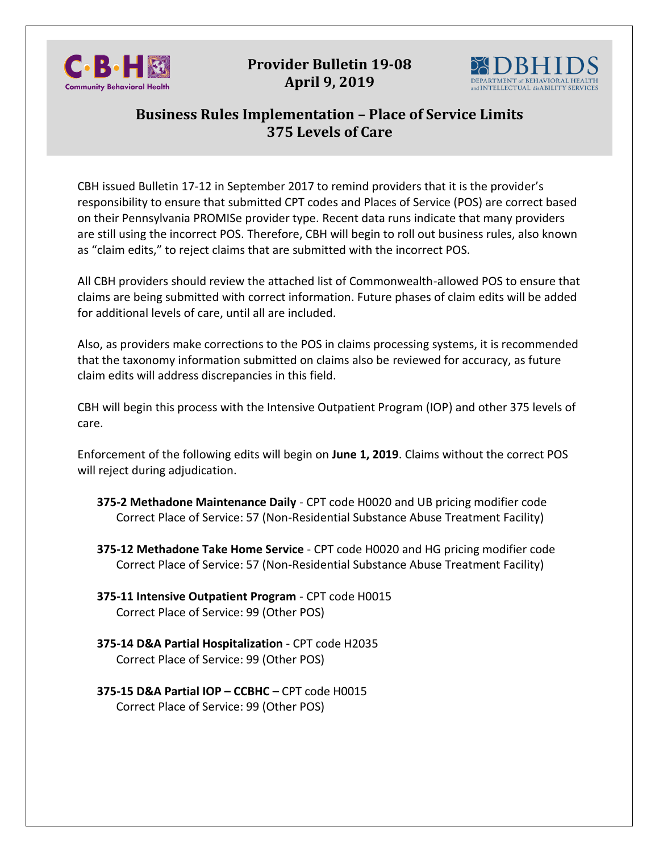

**Provider Bulletin 19-08 April 9, 2019**



## **Business Rules Implementation – Place of Service Limits 375 Levels of Care**

CBH issued Bulletin 17-12 in September 2017 to remind providers that it is the provider's responsibility to ensure that submitted CPT codes and Places of Service (POS) are correct based on their Pennsylvania PROMISe provider type. Recent data runs indicate that many providers are still using the incorrect POS. Therefore, CBH will begin to roll out business rules, also known as "claim edits," to reject claims that are submitted with the incorrect POS.

All CBH providers should review the attached list of Commonwealth-allowed POS to ensure that claims are being submitted with correct information. Future phases of claim edits will be added for additional levels of care, until all are included.

Also, as providers make corrections to the POS in claims processing systems, it is recommended that the taxonomy information submitted on claims also be reviewed for accuracy, as future claim edits will address discrepancies in this field.

CBH will begin this process with the Intensive Outpatient Program (IOP) and other 375 levels of care.

Enforcement of the following edits will begin on **June 1, 2019**. Claims without the correct POS will reject during adjudication.

- **375-2 Methadone Maintenance Daily** CPT code H0020 and UB pricing modifier code Correct Place of Service: 57 (Non-Residential Substance Abuse Treatment Facility)
- **375-12 Methadone Take Home Service** CPT code H0020 and HG pricing modifier code Correct Place of Service: 57 (Non-Residential Substance Abuse Treatment Facility)
- **375-11 Intensive Outpatient Program** CPT code H0015 Correct Place of Service: 99 (Other POS)
- **375-14 D&A Partial Hospitalization** CPT code H2035 Correct Place of Service: 99 (Other POS)
- **375-15 D&A Partial IOP – CCBHC** CPT code H0015 Correct Place of Service: 99 (Other POS)